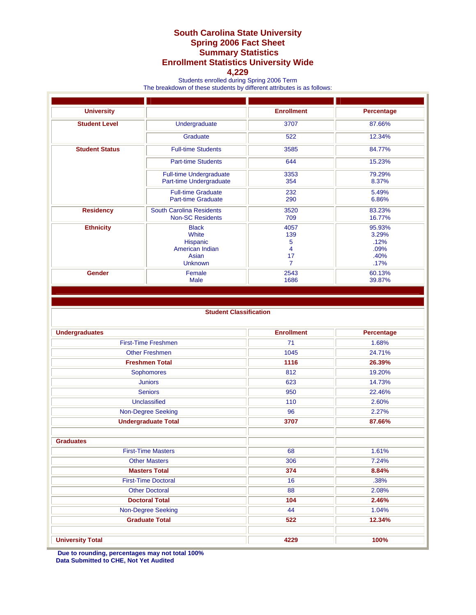## **South Carolina State University Spring 2006 Fact Sheet Summary Statistics Enrollment Statistics University Wide**

## **4,229**

Students enrolled during Spring 2006 Term

The breakdown of these students by different attributes is as follows:

| <b>University</b>     |                                                                                 | <b>Enrollment</b>                             | Percentage                                      |  |
|-----------------------|---------------------------------------------------------------------------------|-----------------------------------------------|-------------------------------------------------|--|
| <b>Student Level</b>  | Undergraduate                                                                   | 3707                                          | 87.66%                                          |  |
|                       | Graduate                                                                        | 522                                           | 12.34%                                          |  |
| <b>Student Status</b> | <b>Full-time Students</b>                                                       | 3585                                          | 84.77%                                          |  |
|                       | <b>Part-time Students</b>                                                       | 644                                           | 15.23%                                          |  |
|                       | <b>Full-time Undergraduate</b><br>Part-time Undergraduate                       | 3353<br>354                                   | 79.29%<br>8.37%                                 |  |
|                       | <b>Full-time Graduate</b><br><b>Part-time Graduate</b>                          | 232<br>290                                    | 5.49%<br>6.86%                                  |  |
| <b>Residency</b>      | <b>South Carolina Residents</b><br><b>Non-SC Residents</b>                      | 3520<br>709                                   | 83.23%<br>16.77%                                |  |
| <b>Ethnicity</b>      | <b>Black</b><br>White<br>Hispanic<br>American Indian<br>Asian<br><b>Unknown</b> | 4057<br>139<br>5<br>4<br>17<br>$\overline{7}$ | 95.93%<br>3.29%<br>.12%<br>.09%<br>.40%<br>.17% |  |
| <b>Gender</b>         | Female<br><b>Male</b>                                                           | 2543<br>1686                                  | 60.13%<br>39.87%                                |  |

## **Student Classification**

| <b>Undergraduates</b>      | <b>Enrollment</b> | Percentage |
|----------------------------|-------------------|------------|
| <b>First-Time Freshmen</b> | 71                | 1.68%      |
| <b>Other Freshmen</b>      | 1045              | 24.71%     |
| <b>Freshmen Total</b>      | 1116              | 26.39%     |
| Sophomores                 | 812               | 19.20%     |
| <b>Juniors</b>             | 623               | 14.73%     |
| <b>Seniors</b>             | 950               | 22.46%     |
| Unclassified               | 110               | 2.60%      |
| <b>Non-Degree Seeking</b>  | 96                | 2.27%      |
| <b>Undergraduate Total</b> | 3707              | 87.66%     |
|                            |                   |            |
| <b>Graduates</b>           |                   |            |
| <b>First-Time Masters</b>  | 68                | 1.61%      |
| <b>Other Masters</b>       | 306               | 7.24%      |
| <b>Masters Total</b>       | 374               | 8.84%      |
| <b>First-Time Doctoral</b> | 16                | .38%       |
| <b>Other Doctoral</b>      | 88                | 2.08%      |
| <b>Doctoral Total</b>      | 104               | 2.46%      |
| Non-Degree Seeking         | 44                | 1.04%      |
| <b>Graduate Total</b>      | 522               | 12.34%     |
|                            |                   |            |
| <b>University Total</b>    | 4229              | 100%       |

**Due to rounding, percentages may not total 100% Data Submitted to CHE, Not Yet Audited**